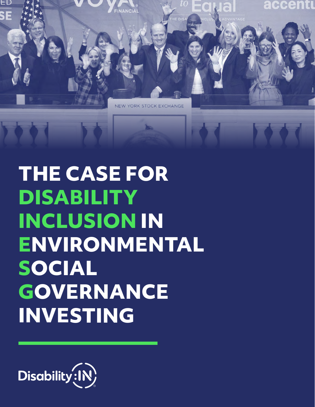

# **THE CASE FOR DISABILITY INCLUSION IN ENVIRONMENTAL SOCIAL GOVERNANCE INVESTING**

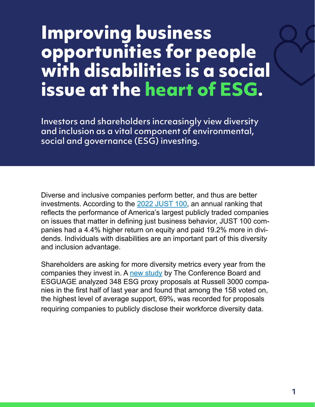#### **Improving business opportunities for people with disabilities is a social issue at the heart of ESG.**

Investors and shareholders increasingly view diversity and inclusion as a vital component of environmental, social and governance (ESG) investing.

Diverse and inclusive companies perform better, and thus are better investments. According to the [2022 JUST 100,](https://justcapital.com/news/the-just-report-meet-the-2022-just-100-leaders/) an annual ranking that reflects the performance of America's largest publicly traded companies on issues that matter in defining just business behavior, JUST 100 companies had a 4.4% higher return on equity and paid 19.2% more in dividends. Individuals with disabilities are an important part of this diversity and inclusion advantage.

Shareholders are asking for more diversity metrics every year from the companies they invest in. A [new study](https://www.conference-board.org/research/shareholder-voting/environmental-and-social-proposals-in-general-brief-1) by The Conference Board and ESGUAGE analyzed 348 ESG proxy proposals at Russell 3000 companies in the first half of last year and found that among the 158 voted on, the highest level of average support, 69%, was recorded for proposals requiring companies to publicly disclose their workforce diversity data.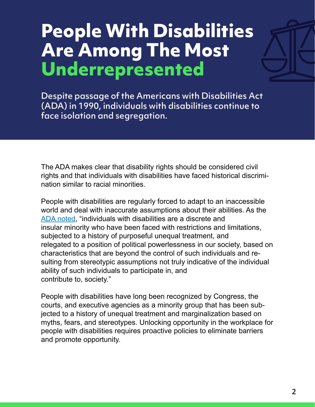### **People With Disabilities Are Among The Most Underrepresented**

Despite passage of the Americans with Disabilities Act (ADA) in 1990, individuals with disabilities continue to face isolation and segregation.

The ADA makes clear that disability rights should be considered civil rights and that individuals with disabilities have faced historical discrimination similar to racial minorities.

People with disabilities are regularly forced to adapt to an inaccessible world and deal with inaccurate assumptions about their abilities. As the [ADA noted,](https://www.law.cornell.edu/supct/html/97-1943.ZC.html) "individuals with disabilities are a discrete and insular minority who have been faced with restrictions and limitations, subjected to a history of purposeful unequal treatment, and relegated to a position of political powerlessness in our society, based on characteristics that are beyond the control of such individuals and resulting from stereotypic assumptions not truly indicative of the individual ability of such individuals to participate in, and contribute to, society."

People with disabilities have long been recognized by Congress, the courts, and executive agencies as a minority group that has been subjected to a history of unequal treatment and marginalization based on myths, fears, and stereotypes. Unlocking opportunity in the workplace for people with disabilities requires proactive policies to eliminate barriers and promote opportunity.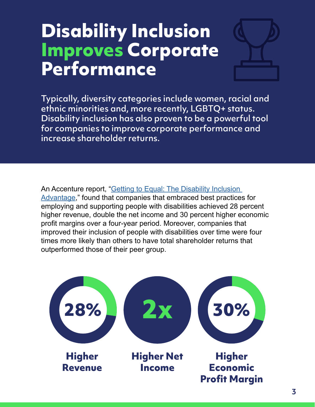#### **Disability Inclusion Improves Corporate Performance**



Typically, diversity categories include women, racial and ethnic minorities and, more recently, LGBTQ+ status. Disability inclusion has also proven to be a powerful tool for companies to improve corporate performance and increase shareholder returns.

An Accenture report, "[Getting to Equal: The Disability Inclusion](https://disabilityin.org/resource/business-case/)  [Advantage](https://disabilityin.org/resource/business-case/)," found that companies that embraced best practices for employing and supporting people with disabilities achieved 28 percent higher revenue, double the net income and 30 percent higher economic profit margins over a four-year period. Moreover, companies that improved their inclusion of people with disabilities over time were four times more likely than others to have total shareholder returns that outperformed those of their peer group.

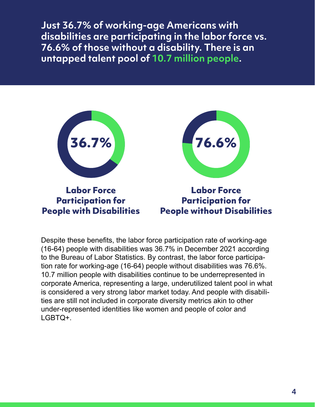**Just 36.7% of working-age Americans with disabilities are participating in the labor force vs. 76.6% of those without a disability. There is an untapped talent pool of 10.7 million people.**



Despite these benefits, the labor force participation rate of working-age (16-64) people with disabilities was 36.7% in December 2021 according to the Bureau of Labor Statistics. By contrast, the labor force participation rate for working-age (16-64) people without disabilities was 76.6%. 10.7 million people with disabilities continue to be underrepresented in corporate America, representing a large, underutilized talent pool in what is considered a very strong labor market today. And people with disabilities are still not included in corporate diversity metrics akin to other under-represented identities like women and people of color and LGBTQ+.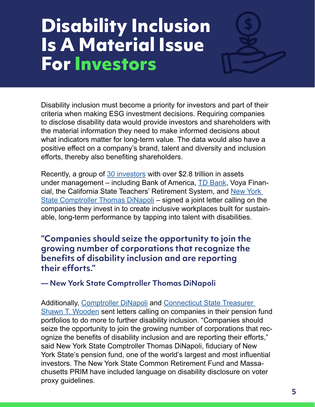#### **Disability Inclusion Is A Material Issue For Investors**

Disability inclusion must become a priority for investors and part of their criteria when making ESG investment decisions. Requiring companies to disclose disability data would provide investors and shareholders with the material information they need to make informed decisions about what indicators matter for long-term value. The data would also have a positive effect on a company's brand, talent and diversity and inclusion efforts, thereby also benefiting shareholders.

Recently, a group of [30 investors](https://disabilityin.org/investors-are-in/) with over \$2.8 trillion in assets under management – including Bank of America, **TD Bank**, Voya Financial, the California State Teachers' Retirement System, and [New York](https://www.osc.state.ny.us/press/releases/2019/05/national-investors-call-workplace-disability-inclusion?redirect=legacy)  [State Comptroller Thomas DiNapoli](https://www.osc.state.ny.us/press/releases/2019/05/national-investors-call-workplace-disability-inclusion?redirect=legacy) – signed a joint letter calling on the companies they invest in to create inclusive workplaces built for sustainable, long-term performance by tapping into talent with disabilities.

**"Companies should seize the opportunity to join the growing number of corporations that recognize the benefits of disability inclusion and are reporting their efforts."** 

**— New York State Comptroller Thomas DiNapoli**

Additionally, [Comptroller DiNapoli](https://www.osc.state.ny.us/press/releases/2019/01/comptroller-dinapoli-calls-major-corporations-report-disability-inclusion) and [Connecticut State Treasurer](https://portal.ct.gov/-/media/OTT/Press-Room/Press-Releases/2019/PR091219WoodenCallsCorporationsAdoptDisabilityInclusionCorrected.pdf)  [Shawn T. Wooden](https://portal.ct.gov/-/media/OTT/Press-Room/Press-Releases/2019/PR091219WoodenCallsCorporationsAdoptDisabilityInclusionCorrected.pdf) sent letters calling on companies in their pension fund portfolios to do more to further disability inclusion. "Companies should seize the opportunity to join the growing number of corporations that recognize the benefits of disability inclusion and are reporting their efforts," said New York State Comptroller Thomas DiNapoli, fiduciary of New York State's pension fund, one of the world's largest and most influential investors. The New York State Common Retirement Fund and Massachusetts PRIM have included language on disability disclosure on voter proxy guidelines.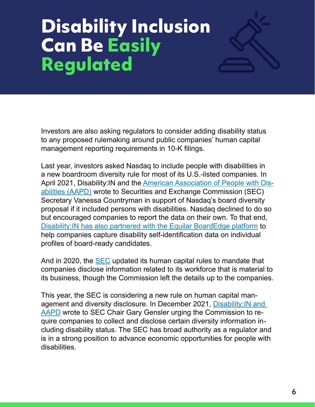## **Disability Inclusion Can Be Easily Regulated**



Last year, investors asked Nasdaq to include people with disabilities in a new boardroom diversity rule for most of its U.S.-listed companies. In April 2021, Disability:IN and the [American Association of People with Dis](https://www.aapd.com/)[abilities \(AAPD\)](https://www.aapd.com/) wrote to Securities and Exchange Commission (SEC) Secretary Vanessa Countryman in support of Nasdaq's board diversity proposal if it included persons with disabilities. Nasdaq declined to do so but encouraged companies to report the data on their own. To that end, [Disability:IN has also partnered with the Equilar BoardEdge platform](https://www.businesswire.com/news/home/20210727005295/en/Equilar-Partners-with-DisabilityIN-to-Advance-the-Inclusion-of-Board-Candidates-with-Disabilities) to help companies capture disability self-identification data on individual profiles of board-ready candidates.

And in 2020, the [SEC](https://www.sec.gov/news/press-release/2020-192) updated its human capital rules to mandate that companies disclose information related to its workforce that is material to its business, though the Commission left the details up to the companies.

This year, the SEC is considering a new rule on human capital management and diversity disclosure. In December 2021, Disability: IN and [AAPD](https://disabilityin-bulk.s3.amazonaws.com/2022/AAPD+DisabilityIN+Letter+to+Chair+Gensler.pdf) wrote to SEC Chair Gary Gensler urging the Commission to require companies to collect and disclose certain diversity information including disability status. The SEC has broad authority as a regulator and is in a strong position to advance economic opportunities for people with disabilities.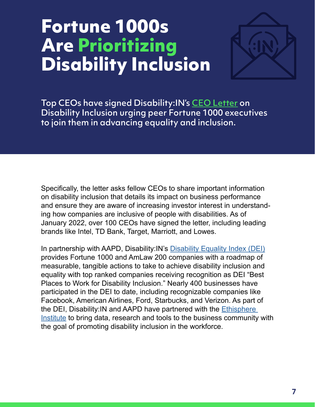### **Fortune 1000s Are Prioritizing Disability Inclusion**



Top CEOs have signed Disability:IN's [CEO Letter](https://disabilityin.org/ceos-are-in/) on Disability Inclusion urging peer Fortune 1000 executives to join them in advancing equality and inclusion.

Specifically, the letter asks fellow CEOs to share important information on disability inclusion that details its impact on business performance and ensure they are aware of increasing investor interest in understanding how companies are inclusive of people with disabilities. As of January 2022, over 100 CEOs have signed the letter, including leading brands like Intel, TD Bank, Target, Marriott, and Lowes.

In partnership with AAPD, Disability:IN's [Disability Equality Index \(DEI\)](https://disabilityin.org/what-we-do/disability-equality-index/) provides Fortune 1000 and AmLaw 200 companies with a roadmap of measurable, tangible actions to take to achieve disability inclusion and equality with top ranked companies receiving recognition as DEI "Best Places to Work for Disability Inclusion." Nearly 400 businesses have participated in the DEI to date, including recognizable companies like Facebook, American Airlines, Ford, Starbucks, and Verizon. As part of the DEI, Disability:IN and AAPD have partnered with the [Ethisphere](https://disabilityin.org/releases/ethisphere-announces-disability-equality-index-collaboration/)  [Institute](https://disabilityin.org/releases/ethisphere-announces-disability-equality-index-collaboration/) to bring data, research and tools to the business community with the goal of promoting disability inclusion in the workforce.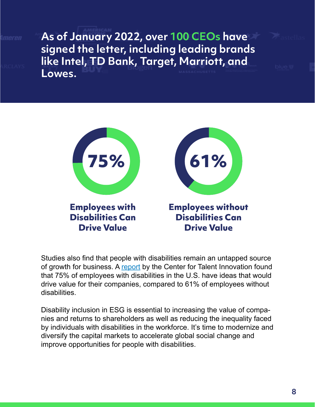**As of January 2022, over 100 CEOs have signed the letter, including leading brands like Intel, TD Bank, Target, Marriott, and Lowes.**



Studies also find that people with disabilities remain an untapped source of growth for business. A [report](https://coqual.org/wp-content/uploads/2020/09/CoqualDisabilitiesInclusion_KeyFindings090720.pdf) by the Center for Talent Innovation found that 75% of employees with disabilities in the U.S. have ideas that would drive value for their companies, compared to 61% of employees without disabilities.

Disability inclusion in ESG is essential to increasing the value of companies and returns to shareholders as well as reducing the inequality faced by individuals with disabilities in the workforce. It's time to modernize and diversify the capital markets to accelerate global social change and improve opportunities for people with disabilities.